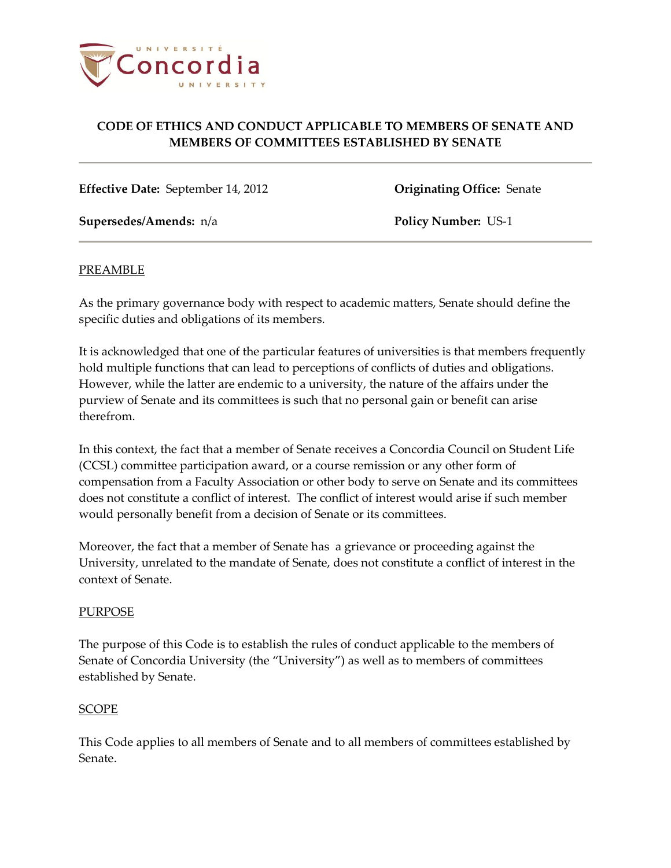

**Effective Date:** September 14, 2012 **Originating Office:** Senate

**Supersedes/Amends:** n/a **Policy Number:** US-1

### PREAMBLE

As the primary governance body with respect to academic matters, Senate should define the specific duties and obligations of its members.

It is acknowledged that one of the particular features of universities is that members frequently hold multiple functions that can lead to perceptions of conflicts of duties and obligations. However, while the latter are endemic to a university, the nature of the affairs under the purview of Senate and its committees is such that no personal gain or benefit can arise therefrom.

In this context, the fact that a member of Senate receives a Concordia Council on Student Life (CCSL) committee participation award, or a course remission or any other form of compensation from a Faculty Association or other body to serve on Senate and its committees does not constitute a conflict of interest. The conflict of interest would arise if such member would personally benefit from a decision of Senate or its committees.

Moreover, the fact that a member of Senate has a grievance or proceeding against the University, unrelated to the mandate of Senate, does not constitute a conflict of interest in the context of Senate.

### PURPOSE

The purpose of this Code is to establish the rules of conduct applicable to the members of Senate of Concordia University (the "University") as well as to members of committees established by Senate.

### SCOPE

This Code applies to all members of Senate and to all members of committees established by Senate.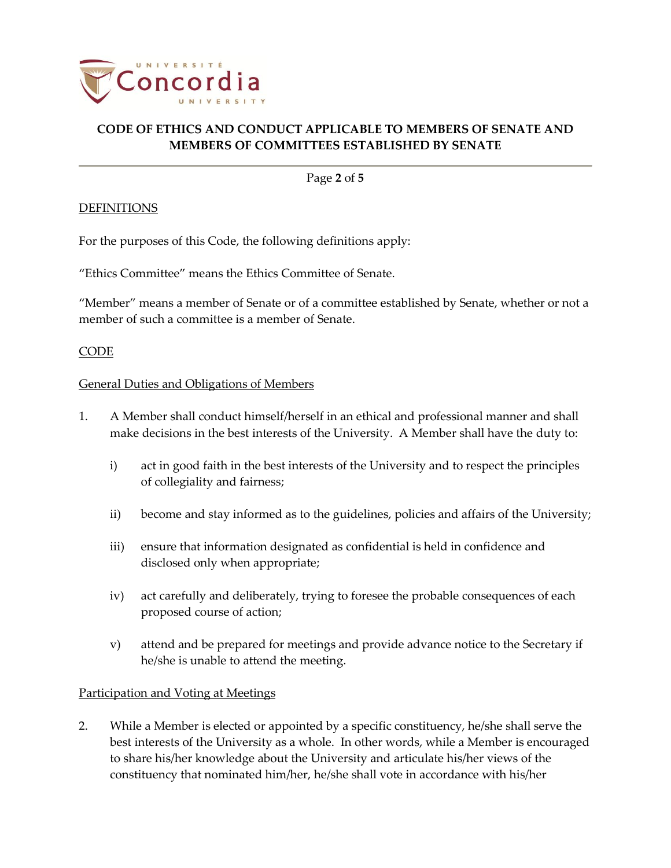

Page **2** of **5**

## **DEFINITIONS**

For the purposes of this Code, the following definitions apply:

"Ethics Committee" means the Ethics Committee of Senate.

"Member" means a member of Senate or of a committee established by Senate, whether or not a member of such a committee is a member of Senate.

## CODE

### General Duties and Obligations of Members

- 1. A Member shall conduct himself/herself in an ethical and professional manner and shall make decisions in the best interests of the University. A Member shall have the duty to:
	- i) act in good faith in the best interests of the University and to respect the principles of collegiality and fairness;
	- ii) become and stay informed as to the guidelines, policies and affairs of the University;
	- iii) ensure that information designated as confidential is held in confidence and disclosed only when appropriate;
	- iv) act carefully and deliberately, trying to foresee the probable consequences of each proposed course of action;
	- v) attend and be prepared for meetings and provide advance notice to the Secretary if he/she is unable to attend the meeting.

## Participation and Voting at Meetings

2. While a Member is elected or appointed by a specific constituency, he/she shall serve the best interests of the University as a whole. In other words, while a Member is encouraged to share his/her knowledge about the University and articulate his/her views of the constituency that nominated him/her, he/she shall vote in accordance with his/her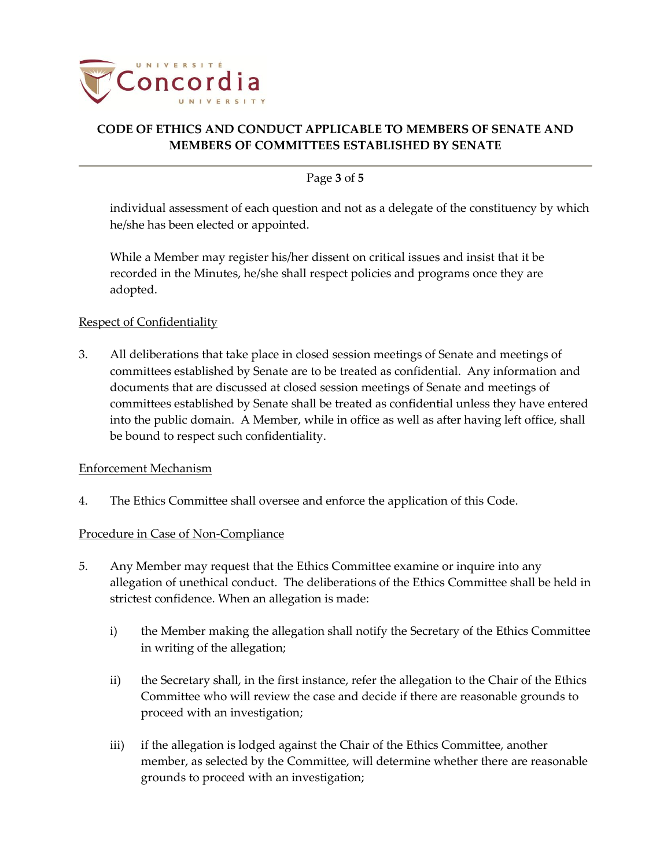

### Page **3** of **5**

individual assessment of each question and not as a delegate of the constituency by which he/she has been elected or appointed.

While a Member may register his/her dissent on critical issues and insist that it be recorded in the Minutes, he/she shall respect policies and programs once they are adopted.

### Respect of Confidentiality

3. All deliberations that take place in closed session meetings of Senate and meetings of committees established by Senate are to be treated as confidential. Any information and documents that are discussed at closed session meetings of Senate and meetings of committees established by Senate shall be treated as confidential unless they have entered into the public domain. A Member, while in office as well as after having left office, shall be bound to respect such confidentiality.

### Enforcement Mechanism

4. The Ethics Committee shall oversee and enforce the application of this Code.

### Procedure in Case of Non-Compliance

- 5. Any Member may request that the Ethics Committee examine or inquire into any allegation of unethical conduct. The deliberations of the Ethics Committee shall be held in strictest confidence. When an allegation is made:
	- i) the Member making the allegation shall notify the Secretary of the Ethics Committee in writing of the allegation;
	- ii) the Secretary shall, in the first instance, refer the allegation to the Chair of the Ethics Committee who will review the case and decide if there are reasonable grounds to proceed with an investigation;
	- iii) if the allegation is lodged against the Chair of the Ethics Committee, another member, as selected by the Committee, will determine whether there are reasonable grounds to proceed with an investigation;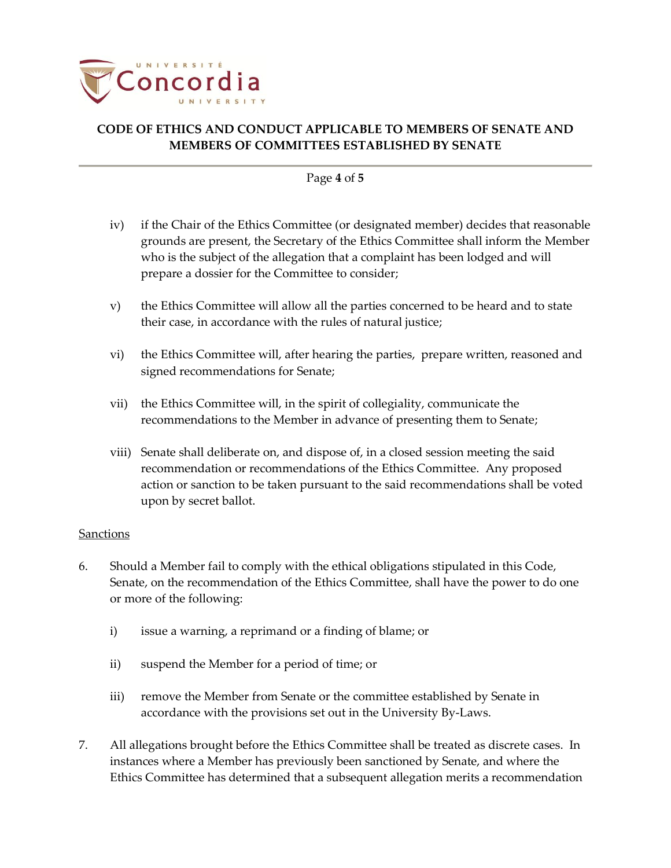

#### Page **4** of **5**

- iv) if the Chair of the Ethics Committee (or designated member) decides that reasonable grounds are present, the Secretary of the Ethics Committee shall inform the Member who is the subject of the allegation that a complaint has been lodged and will prepare a dossier for the Committee to consider;
- v) the Ethics Committee will allow all the parties concerned to be heard and to state their case, in accordance with the rules of natural justice;
- vi) the Ethics Committee will, after hearing the parties, prepare written, reasoned and signed recommendations for Senate;
- vii) the Ethics Committee will, in the spirit of collegiality, communicate the recommendations to the Member in advance of presenting them to Senate;
- viii) Senate shall deliberate on, and dispose of, in a closed session meeting the said recommendation or recommendations of the Ethics Committee. Any proposed action or sanction to be taken pursuant to the said recommendations shall be voted upon by secret ballot.

### **Sanctions**

- 6. Should a Member fail to comply with the ethical obligations stipulated in this Code, Senate, on the recommendation of the Ethics Committee, shall have the power to do one or more of the following:
	- i) issue a warning, a reprimand or a finding of blame; or
	- ii) suspend the Member for a period of time; or
	- iii) remove the Member from Senate or the committee established by Senate in accordance with the provisions set out in the University By‐Laws.
- 7. All allegations brought before the Ethics Committee shall be treated as discrete cases. In instances where a Member has previously been sanctioned by Senate, and where the Ethics Committee has determined that a subsequent allegation merits a recommendation